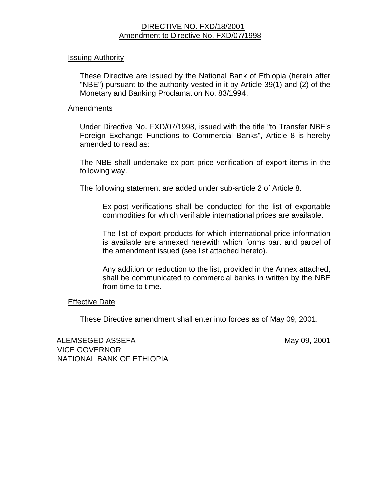# DIRECTIVE NO. FXD/18/2001 Amendment to Directive No. FXD/07/1998

#### Issuing Authority

These Directive are issued by the National Bank of Ethiopia (herein after "NBE") pursuant to the authority vested in it by Article 39(1) and (2) of the Monetary and Banking Proclamation No. 83/1994.

### Amendments

Under Directive No. FXD/07/1998, issued with the title "to Transfer NBE's Foreign Exchange Functions to Commercial Banks", Article 8 is hereby amended to read as:

The NBE shall undertake ex-port price verification of export items in the following way.

The following statement are added under sub-article 2 of Article 8.

Ex-post verifications shall be conducted for the list of exportable commodities for which verifiable international prices are available.

The list of export products for which international price information is available are annexed herewith which forms part and parcel of the amendment issued (see list attached hereto).

Any addition or reduction to the list, provided in the Annex attached, shall be communicated to commercial banks in written by the NBE from time to time.

# Effective Date

These Directive amendment shall enter into forces as of May 09, 2001.

ALEMSEGED ASSEFA May 09, 2001 VICE GOVERNOR NATIONAL BANK OF ETHIOPIA